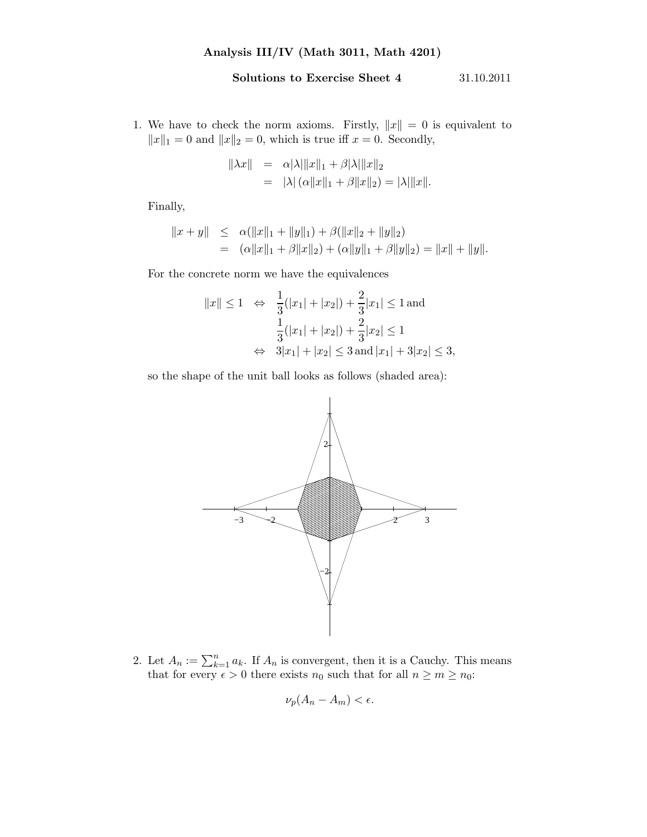## Solutions to Exercise Sheet 4 31.10.2011

1. We have to check the norm axioms. Firstly,  $||x|| = 0$  is equivalent to  $||x||_1 = 0$  and  $||x||_2 = 0$ , which is true iff  $x = 0$ . Secondly,

$$
\|\lambda x\| = \alpha |\lambda| \|x\|_1 + \beta |\lambda| \|x\|_2
$$
  
=  $|\lambda| (\alpha \|x\|_1 + \beta \|x\|_2) = |\lambda| \|x\|.$ 

Finally,

$$
||x + y|| \leq \alpha(||x||_1 + ||y||_1) + \beta(||x||_2 + ||y||_2)
$$
  
=  $(\alpha ||x||_1 + \beta ||x||_2) + (\alpha ||y||_1 + \beta ||y||_2) = ||x|| + ||y||.$ 

For the concrete norm we have the equivalences

$$
||x|| \le 1 \Leftrightarrow \frac{1}{3}(|x_1| + |x_2|) + \frac{2}{3}|x_1| \le 1 \text{ and}
$$
  

$$
\frac{1}{3}(|x_1| + |x_2|) + \frac{2}{3}|x_2| \le 1
$$
  

$$
\Leftrightarrow 3|x_1| + |x_2| \le 3 \text{ and } |x_1| + 3|x_2| \le 3,
$$

so the shape of the unit ball looks as follows (shaded area):



2. Let  $A_n := \sum_{k=1}^n a_k$ . If  $A_n$  is convergent, then it is a Cauchy. This means that for every  $\epsilon > 0$  there exists  $n_0$  such that for all  $n \geq m \geq n_0$ :

$$
\nu_p(A_n-A_m)<\epsilon.
$$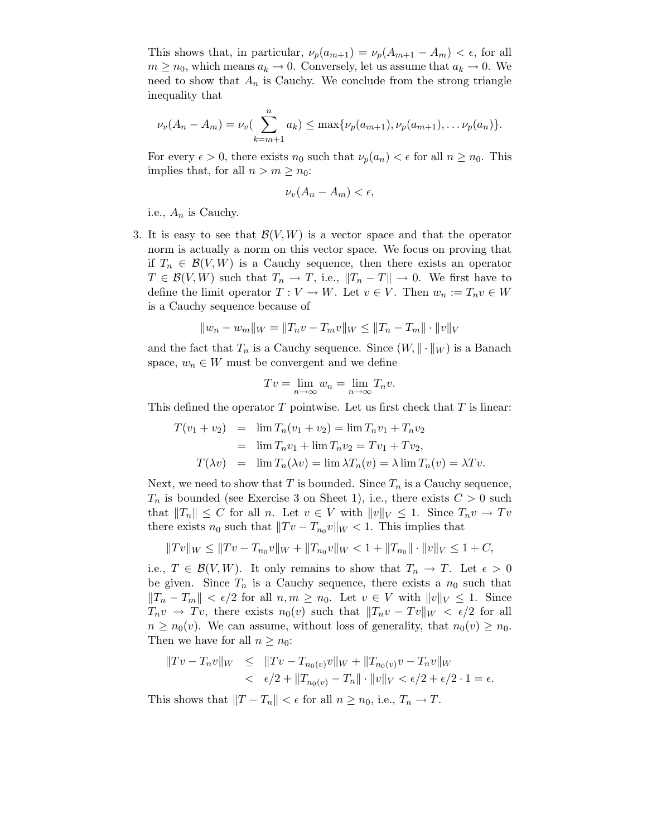This shows that, in particular,  $\nu_p(a_{m+1}) = \nu_p(A_{m+1} - A_m) < \epsilon$ , for all  $m \geq n_0$ , which means  $a_k \to 0$ . Conversely, let us assume that  $a_k \to 0$ . We need to show that  $A_n$  is Cauchy. We conclude from the strong triangle inequality that

$$
\nu_v(A_n - A_m) = \nu_v(\sum_{k=m+1}^n a_k) \leq \max{\nu_p(a_{m+1}), \nu_p(a_{m+1}), \dots \nu_p(a_n)}.
$$

For every  $\epsilon > 0$ , there exists  $n_0$  such that  $\nu_p(a_n) < \epsilon$  for all  $n \geq n_0$ . This implies that, for all  $n > m \geq n_0$ :

$$
\nu_v(A_n - A_m) < \epsilon,
$$

i.e.,  $A_n$  is Cauchy.

3. It is easy to see that  $\mathcal{B}(V, W)$  is a vector space and that the operator norm is actually a norm on this vector space. We focus on proving that if  $T_n \in \mathcal{B}(V, W)$  is a Cauchy sequence, then there exists an operator  $T \in \mathcal{B}(V, W)$  such that  $T_n \to T$ , i.e.,  $||T_n - T|| \to 0$ . We first have to define the limit operator  $T: V \to W$ . Let  $v \in V$ . Then  $w_n := T_n v \in W$ is a Cauchy sequence because of

$$
||w_n - w_m||_W = ||T_n v - T_m v||_W \le ||T_n - T_m|| \cdot ||v||_V
$$

and the fact that  $T_n$  is a Cauchy sequence. Since  $(W, \|\cdot\|_W)$  is a Banach space,  $w_n \in W$  must be convergent and we define

$$
Tv = \lim_{n \to \infty} w_n = \lim_{n \to \infty} T_n v.
$$

This defined the operator  $T$  pointwise. Let us first check that  $T$  is linear:

$$
T(v_1 + v_2) = \lim T_n(v_1 + v_2) = \lim T_n v_1 + T_n v_2
$$
  
= 
$$
\lim T_n v_1 + \lim T_n v_2 = Tv_1 + Tv_2,
$$
  

$$
T(\lambda v) = \lim T_n(\lambda v) = \lim \lambda T_n(v) = \lambda \lim T_n(v) = \lambda Tv.
$$

Next, we need to show that T is bounded. Since  $T_n$  is a Cauchy sequence,  $T_n$  is bounded (see Exercise 3 on Sheet 1), i.e., there exists  $C > 0$  such that  $||T_n|| \leq C$  for all n. Let  $v \in V$  with  $||v||_V \leq 1$ . Since  $T_n v \to Tv$ there exists  $n_0$  such that  $||Tv - T_{n_0}v||_W < 1$ . This implies that

$$
||Tv||_W \le ||Tv - T_{n_0}v||_W + ||T_{n_0}v||_W < 1 + ||T_{n_0}|| \cdot ||v||_V \le 1 + C,
$$

i.e.,  $T \in \mathcal{B}(V, W)$ . It only remains to show that  $T_n \to T$ . Let  $\epsilon > 0$ be given. Since  $T_n$  is a Cauchy sequence, there exists a  $n_0$  such that  $||T_n - T_m|| < \epsilon/2$  for all  $n, m \geq n_0$ . Let  $v \in V$  with  $||v||_V \leq 1$ . Since  $T_n v \to Tv$ , there exists  $n_0(v)$  such that  $||T_n v - Tv||_W < \epsilon/2$  for all  $n \geq n_0(v)$ . We can assume, without loss of generality, that  $n_0(v) \geq n_0$ . Then we have for all  $n \geq n_0$ :

$$
||Tv - T_n v||_W \le ||Tv - T_{n_0(v)}v||_W + ||T_{n_0(v)}v - T_n v||_W
$$
  
<  $\epsilon/2 + ||T_{n_0(v)} - T_n|| \cdot ||v||_V < \epsilon/2 + \epsilon/2 \cdot 1 = \epsilon.$ 

This shows that  $||T - T_n|| < \epsilon$  for all  $n \geq n_0$ , i.e.,  $T_n \to T$ .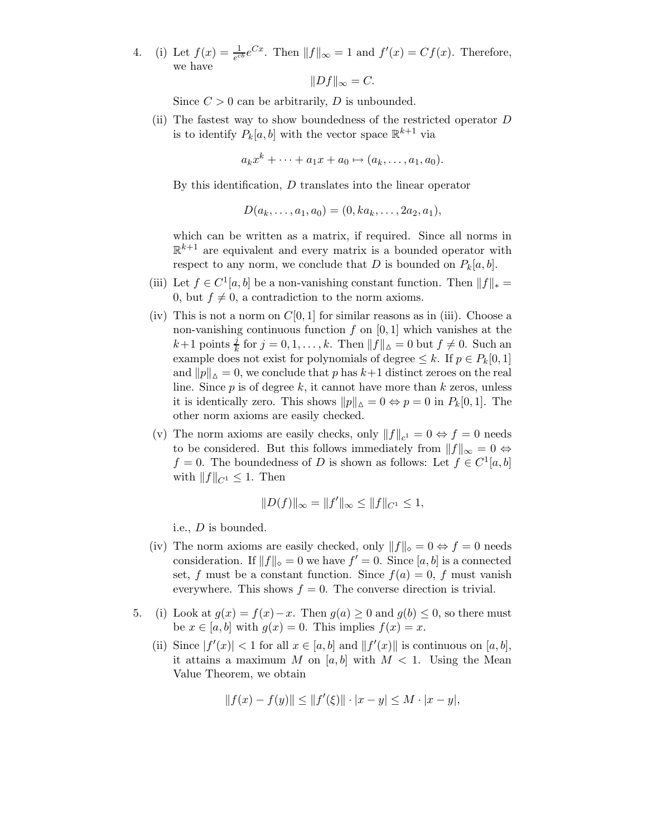4. (i) Let  $f(x) = \frac{1}{e^{cb}}e^{Cx}$ . Then  $||f||_{\infty} = 1$  and  $f'(x) = Cf(x)$ . Therefore, we have

$$
||Df||_{\infty}=C.
$$

Since  $C > 0$  can be arbitrarily, D is unbounded.

(ii) The fastest way to show boundedness of the restricted operator D is to identify  $P_k[a, b]$  with the vector space  $\mathbb{R}^{k+1}$  via

$$
a_k x^k + \cdots + a_1 x + a_0 \mapsto (a_k, \ldots, a_1, a_0).
$$

By this identification,  $D$  translates into the linear operator

$$
D(a_k, \ldots, a_1, a_0) = (0, ka_k, \ldots, 2a_2, a_1),
$$

which can be written as a matrix, if required. Since all norms in  $\mathbb{R}^{k+1}$  are equivalent and every matrix is a bounded operator with respect to any norm, we conclude that D is bounded on  $P_k[a, b]$ .

- (iii) Let  $f \in C^1[a, b]$  be a non-vanishing constant function. Then  $||f||_* =$ 0, but  $f \neq 0$ , a contradiction to the norm axioms.
- (iv) This is not a norm on  $C[0, 1]$  for similar reasons as in (iii). Choose a non-vanishing continuous function  $f$  on  $[0, 1]$  which vanishes at the  $k+1$  points  $\frac{j}{k}$  for  $j = 0, 1, \ldots, k$ . Then  $||\overrightarrow{f}||_{\Delta} = 0$  but  $f \neq 0$ . Such an example does not exist for polynomials of degree  $\leq k$ . If  $p \in P_k[0,1]$ and  $||p||_{\Delta} = 0$ , we conclude that p has  $k+1$  distinct zeroes on the real line. Since  $p$  is of degree  $k$ , it cannot have more than  $k$  zeros, unless it is identically zero. This shows  $||p||_{\Delta} = 0 \Leftrightarrow p = 0$  in  $P_k[0, 1]$ . The other norm axioms are easily checked.
- (v) The norm axioms are easily checks, only  $||f||_{c^1} = 0 \Leftrightarrow f = 0$  needs to be considered. But this follows immediately from  $\|f\|_{\infty} = 0 \Leftrightarrow$  $f = 0$ . The boundedness of D is shown as follows: Let  $f \in C^1[a, b]$ with  $||f||_{C^1} \leq 1$ . Then

$$
||D(f)||_{\infty} = ||f'||_{\infty} \le ||f||_{C^1} \le 1,
$$

i.e., D is bounded.

- (iv) The norm axioms are easily checked, only  $||f||_{\diamond} = 0 \Leftrightarrow f = 0$  needs consideration. If  $||f||_{\diamond} = 0$  we have  $f' = 0$ . Since [a, b] is a connected set, f must be a constant function. Since  $f(a) = 0$ , f must vanish everywhere. This shows  $f = 0$ . The converse direction is trivial.
- 5. (i) Look at  $g(x) = f(x)-x$ . Then  $g(a) \geq 0$  and  $g(b) \leq 0$ , so there must be  $x \in [a, b]$  with  $g(x) = 0$ . This implies  $f(x) = x$ .
	- (ii) Since  $|f'(x)| < 1$  for all  $x \in [a, b]$  and  $||f'(x)||$  is continuous on  $[a, b]$ , it attains a maximum M on [a, b] with  $M < 1$ . Using the Mean Value Theorem, we obtain

$$
||f(x) - f(y)|| \le ||f'(\xi)|| \cdot |x - y| \le M \cdot |x - y|,
$$